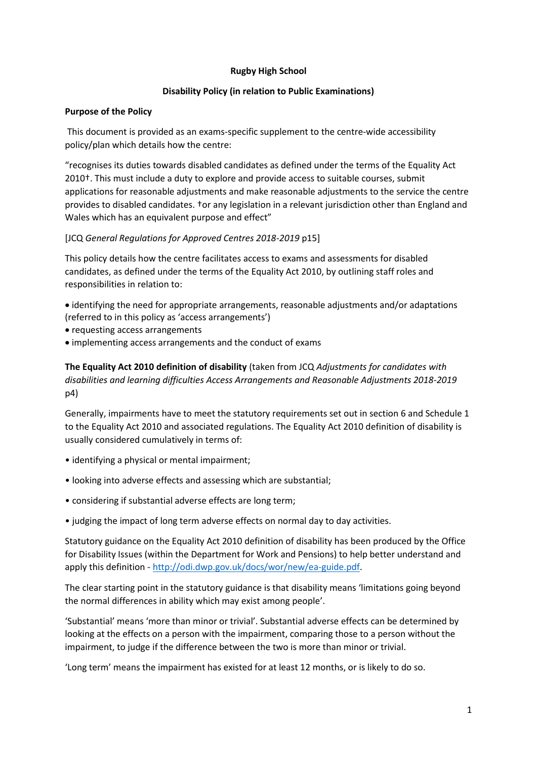# **Rugby High School**

# **Disability Policy (in relation to Public Examinations)**

### **Purpose of the Policy**

This document is provided as an exams-specific supplement to the centre-wide accessibility policy/plan which details how the centre:

"recognises its duties towards disabled candidates as defined under the terms of the Equality Act 2010†. This must include a duty to explore and provide access to suitable courses, submit applications for reasonable adjustments and make reasonable adjustments to the service the centre provides to disabled candidates. †or any legislation in a relevant jurisdiction other than England and Wales which has an equivalent purpose and effect"

# [JCQ *General Regulations for Approved Centres 2018-2019* p15]

This policy details how the centre facilitates access to exams and assessments for disabled candidates, as defined under the terms of the Equality Act 2010, by outlining staff roles and responsibilities in relation to:

 identifying the need for appropriate arrangements, reasonable adjustments and/or adaptations (referred to in this policy as 'access arrangements')

- requesting access arrangements
- implementing access arrangements and the conduct of exams

**The Equality Act 2010 definition of disability** (taken from JCQ *Adjustments for candidates with disabilities and learning difficulties Access Arrangements and Reasonable Adjustments 2018-2019* p4)

Generally, impairments have to meet the statutory requirements set out in section 6 and Schedule 1 to the Equality Act 2010 and associated regulations. The Equality Act 2010 definition of disability is usually considered cumulatively in terms of:

- identifying a physical or mental impairment;
- looking into adverse effects and assessing which are substantial;
- considering if substantial adverse effects are long term;
- judging the impact of long term adverse effects on normal day to day activities.

Statutory guidance on the Equality Act 2010 definition of disability has been produced by the Office for Disability Issues (within the Department for Work and Pensions) to help better understand and apply this definition - [http://odi.dwp.gov.uk/docs/wor/new/ea-guide.pdf.](http://odi.dwp.gov.uk/docs/wor/new/ea-guide.pdf)

The clear starting point in the statutory guidance is that disability means 'limitations going beyond the normal differences in ability which may exist among people'.

'Substantial' means 'more than minor or trivial'. Substantial adverse effects can be determined by looking at the effects on a person with the impairment, comparing those to a person without the impairment, to judge if the difference between the two is more than minor or trivial.

'Long term' means the impairment has existed for at least 12 months, or is likely to do so.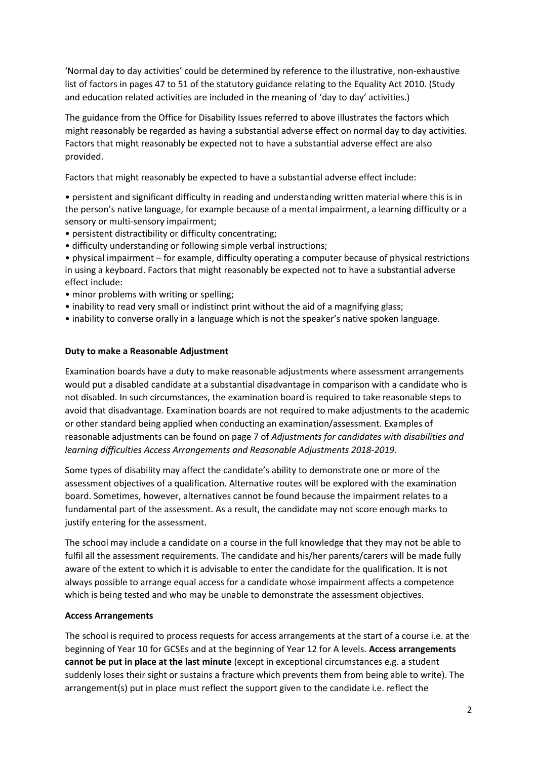'Normal day to day activities' could be determined by reference to the illustrative, non-exhaustive list of factors in pages 47 to 51 of the statutory guidance relating to the Equality Act 2010. (Study and education related activities are included in the meaning of 'day to day' activities.)

The guidance from the Office for Disability Issues referred to above illustrates the factors which might reasonably be regarded as having a substantial adverse effect on normal day to day activities. Factors that might reasonably be expected not to have a substantial adverse effect are also provided.

Factors that might reasonably be expected to have a substantial adverse effect include:

• persistent and significant difficulty in reading and understanding written material where this is in the person's native language, for example because of a mental impairment, a learning difficulty or a sensory or multi-sensory impairment;

- persistent distractibility or difficulty concentrating;
- difficulty understanding or following simple verbal instructions;

• physical impairment – for example, difficulty operating a computer because of physical restrictions in using a keyboard. Factors that might reasonably be expected not to have a substantial adverse effect include:

- minor problems with writing or spelling;
- inability to read very small or indistinct print without the aid of a magnifying glass;
- inability to converse orally in a language which is not the speaker's native spoken language.

# **Duty to make a Reasonable Adjustment**

Examination boards have a duty to make reasonable adjustments where assessment arrangements would put a disabled candidate at a substantial disadvantage in comparison with a candidate who is not disabled. In such circumstances, the examination board is required to take reasonable steps to avoid that disadvantage. Examination boards are not required to make adjustments to the academic or other standard being applied when conducting an examination/assessment. Examples of reasonable adjustments can be found on page 7 of *Adjustments for candidates with disabilities and learning difficulties Access Arrangements and Reasonable Adjustments 2018-2019.*

Some types of disability may affect the candidate's ability to demonstrate one or more of the assessment objectives of a qualification. Alternative routes will be explored with the examination board. Sometimes, however, alternatives cannot be found because the impairment relates to a fundamental part of the assessment. As a result, the candidate may not score enough marks to justify entering for the assessment.

The school may include a candidate on a course in the full knowledge that they may not be able to fulfil all the assessment requirements. The candidate and his/her parents/carers will be made fully aware of the extent to which it is advisable to enter the candidate for the qualification. It is not always possible to arrange equal access for a candidate whose impairment affects a competence which is being tested and who may be unable to demonstrate the assessment objectives.

#### **Access Arrangements**

The school is required to process requests for access arrangements at the start of a course i.e. at the beginning of Year 10 for GCSEs and at the beginning of Year 12 for A levels. **Access arrangements cannot be put in place at the last minute** (except in exceptional circumstances e.g. a student suddenly loses their sight or sustains a fracture which prevents them from being able to write). The arrangement(s) put in place must reflect the support given to the candidate i.e. reflect the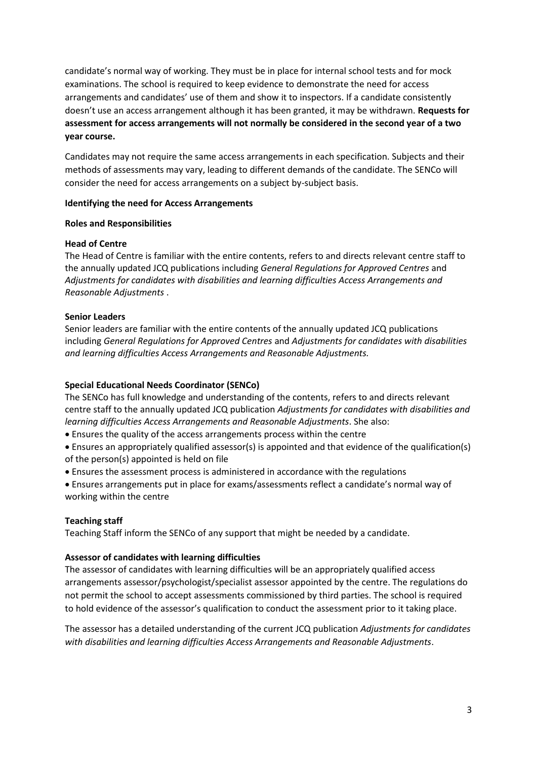candidate's normal way of working. They must be in place for internal school tests and for mock examinations. The school is required to keep evidence to demonstrate the need for access arrangements and candidates' use of them and show it to inspectors. If a candidate consistently doesn't use an access arrangement although it has been granted, it may be withdrawn. **Requests for assessment for access arrangements will not normally be considered in the second year of a two year course.**

Candidates may not require the same access arrangements in each specification. Subjects and their methods of assessments may vary, leading to different demands of the candidate. The SENCo will consider the need for access arrangements on a subject by-subject basis.

# **Identifying the need for Access Arrangements**

#### **Roles and Responsibilities**

# **Head of Centre**

The Head of Centre is familiar with the entire contents, refers to and directs relevant centre staff to the annually updated JCQ publications including *General Regulations for Approved Centres* and *Adjustments for candidates with disabilities and learning difficulties Access Arrangements and Reasonable Adjustments* .

# **Senior Leaders**

Senior leaders are familiar with the entire contents of the annually updated JCQ publications including *General Regulations for Approved Centres* and *Adjustments for candidates with disabilities and learning difficulties Access Arrangements and Reasonable Adjustments.*

# **Special Educational Needs Coordinator (SENCo)**

The SENCo has full knowledge and understanding of the contents, refers to and directs relevant centre staff to the annually updated JCQ publication *Adjustments for candidates with disabilities and learning difficulties Access Arrangements and Reasonable Adjustments*. She also:

- Ensures the quality of the access arrangements process within the centre
- Ensures an appropriately qualified assessor(s) is appointed and that evidence of the qualification(s) of the person(s) appointed is held on file
- Ensures the assessment process is administered in accordance with the regulations
- Ensures arrangements put in place for exams/assessments reflect a candidate's normal way of working within the centre

# **Teaching staff**

Teaching Staff inform the SENCo of any support that might be needed by a candidate.

# **Assessor of candidates with learning difficulties**

The assessor of candidates with learning difficulties will be an appropriately qualified access arrangements assessor/psychologist/specialist assessor appointed by the centre. The regulations do not permit the school to accept assessments commissioned by third parties. The school is required to hold evidence of the assessor's qualification to conduct the assessment prior to it taking place.

The assessor has a detailed understanding of the current JCQ publication *Adjustments for candidates with disabilities and learning difficulties Access Arrangements and Reasonable Adjustments*.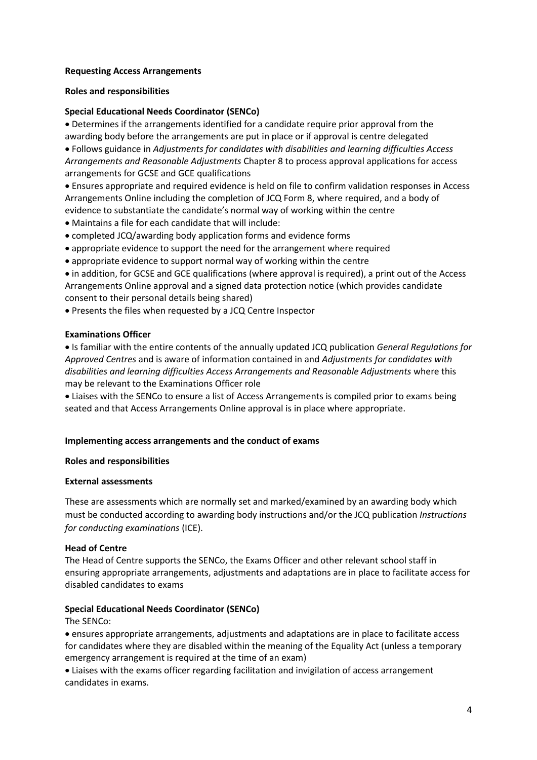### **Requesting Access Arrangements**

#### **Roles and responsibilities**

# **Special Educational Needs Coordinator (SENCo)**

 Determines if the arrangements identified for a candidate require prior approval from the awarding body before the arrangements are put in place or if approval is centre delegated

 Follows guidance in *Adjustments for candidates with disabilities and learning difficulties Access Arrangements and Reasonable Adjustments* Chapter 8 to process approval applications for access arrangements for GCSE and GCE qualifications

 Ensures appropriate and required evidence is held on file to confirm validation responses in Access Arrangements Online including the completion of JCQ Form 8, where required, and a body of evidence to substantiate the candidate's normal way of working within the centre

- Maintains a file for each candidate that will include:
- completed JCQ/awarding body application forms and evidence forms
- appropriate evidence to support the need for the arrangement where required
- appropriate evidence to support normal way of working within the centre

 in addition, for GCSE and GCE qualifications (where approval is required), a print out of the Access Arrangements Online approval and a signed data protection notice (which provides candidate consent to their personal details being shared)

Presents the files when requested by a JCQ Centre Inspector

#### **Examinations Officer**

 Is familiar with the entire contents of the annually updated JCQ publication *General Regulations for Approved Centres* and is aware of information contained in and *Adjustments for candidates with disabilities and learning difficulties Access Arrangements and Reasonable Adjustments* where this may be relevant to the Examinations Officer role

 Liaises with the SENCo to ensure a list of Access Arrangements is compiled prior to exams being seated and that Access Arrangements Online approval is in place where appropriate.

#### **Implementing access arrangements and the conduct of exams**

#### **Roles and responsibilities**

#### **External assessments**

These are assessments which are normally set and marked/examined by an awarding body which must be conducted according to awarding body instructions and/or the JCQ publication *Instructions for conducting examinations* (ICE).

#### **Head of Centre**

The Head of Centre supports the SENCo, the Exams Officer and other relevant school staff in ensuring appropriate arrangements, adjustments and adaptations are in place to facilitate access for disabled candidates to exams

#### **Special Educational Needs Coordinator (SENCo)**

#### The SENCo:

 ensures appropriate arrangements, adjustments and adaptations are in place to facilitate access for candidates where they are disabled within the meaning of the Equality Act (unless a temporary emergency arrangement is required at the time of an exam)

 Liaises with the exams officer regarding facilitation and invigilation of access arrangement candidates in exams.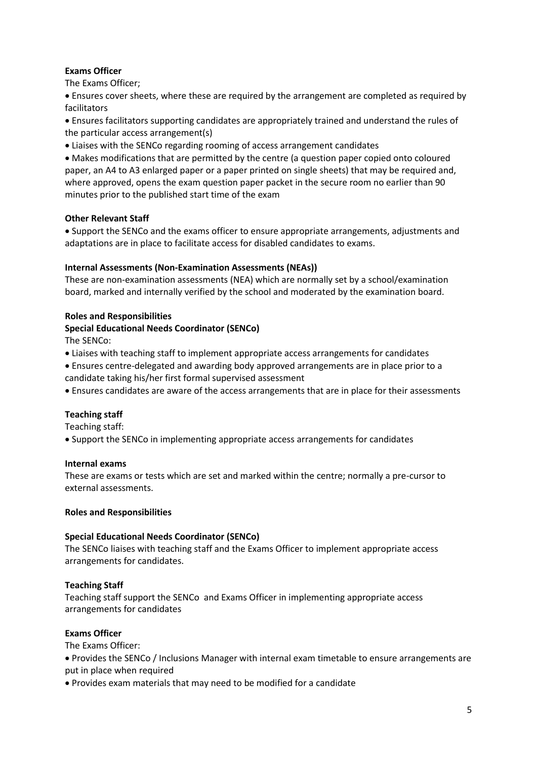# **Exams Officer**

The Exams Officer;

 Ensures cover sheets, where these are required by the arrangement are completed as required by facilitators

 Ensures facilitators supporting candidates are appropriately trained and understand the rules of the particular access arrangement(s)

Liaises with the SENCo regarding rooming of access arrangement candidates

 Makes modifications that are permitted by the centre (a question paper copied onto coloured paper, an A4 to A3 enlarged paper or a paper printed on single sheets) that may be required and, where approved, opens the exam question paper packet in the secure room no earlier than 90 minutes prior to the published start time of the exam

# **Other Relevant Staff**

 Support the SENCo and the exams officer to ensure appropriate arrangements, adjustments and adaptations are in place to facilitate access for disabled candidates to exams.

# **Internal Assessments (Non-Examination Assessments (NEAs))**

These are non-examination assessments (NEA) which are normally set by a school/examination board, marked and internally verified by the school and moderated by the examination board.

# **Roles and Responsibilities**

# **Special Educational Needs Coordinator (SENCo)**

The SENCo:

- Liaises with teaching staff to implement appropriate access arrangements for candidates
- Ensures centre-delegated and awarding body approved arrangements are in place prior to a candidate taking his/her first formal supervised assessment
- Ensures candidates are aware of the access arrangements that are in place for their assessments

# **Teaching staff**

Teaching staff:

Support the SENCo in implementing appropriate access arrangements for candidates

#### **Internal exams**

These are exams or tests which are set and marked within the centre; normally a pre-cursor to external assessments.

#### **Roles and Responsibilities**

#### **Special Educational Needs Coordinator (SENCo)**

The SENCo liaises with teaching staff and the Exams Officer to implement appropriate access arrangements for candidates.

# **Teaching Staff**

Teaching staff support the SENCo and Exams Officer in implementing appropriate access arrangements for candidates

#### **Exams Officer**

The Exams Officer:

 Provides the SENCo / Inclusions Manager with internal exam timetable to ensure arrangements are put in place when required

Provides exam materials that may need to be modified for a candidate